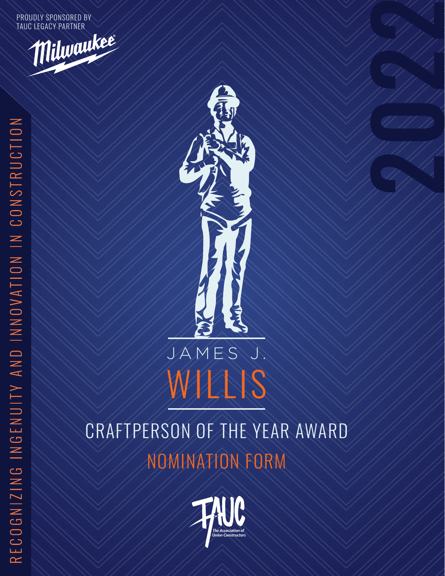PROUDLY SPONSORED BY TAUC LEGACY PARTNER





# JAMES J. WILLIS

NOMINATION FORM CRAFTPERSON OF THE YEAR AWARD

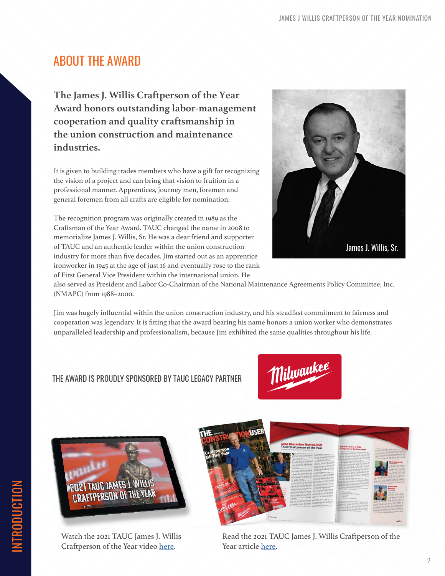# ABOUT THE AWARD

**The James J. Willis Craftperson of the Year Award honors outstanding labor-management cooperation and quality craftsmanship in the union construction and maintenance industries.** 

It is given to building trades members who have a gift for recognizing the vision of a project and can bring that vision to fruition in a professional manner. Apprentices, journey men, foremen and general foremen from all crafts are eligible for nomination.

The recognition program was originally created in 1989 as the Craftsman of the Year Award. TAUC changed the name in 2008 to memorialize James J. Willis, Sr. He was a dear friend and supporter of TAUC and an authentic leader within the union construction industry for more than five decades. Jim started out as an apprentice ironworker in 1945 at the age of just 16 and eventually rose to the rank of First General Vice President within the international union. He



also served as President and Labor Co-Chairman of the National Maintenance Agreements Policy Committee, Inc. (NMAPC) from 1988–2000.

Jim was hugely influential within the union construction industry, and his steadfast commitment to fairness and cooperation was legendary. It is fitting that the award bearing his name honors a union worker who demonstrates unparalleled leadership and professionalism, because Jim exhibited the same qualities throughout his life.

## THE AWARD IS PROUDLY SPONSORED BY TAUC LEGACY PARTNER





Watch the 2021 TAUC James J. Willis Craftperson of the Year video [here](https://www.tauc.org/press/association-news/index.cfm?fa=article&id=2519#).



Read the 2021 TAUC James J. Willis Craftperson of the Year article [here](https://www.tauc.org/files/2021_Craftperson_Article.pdf).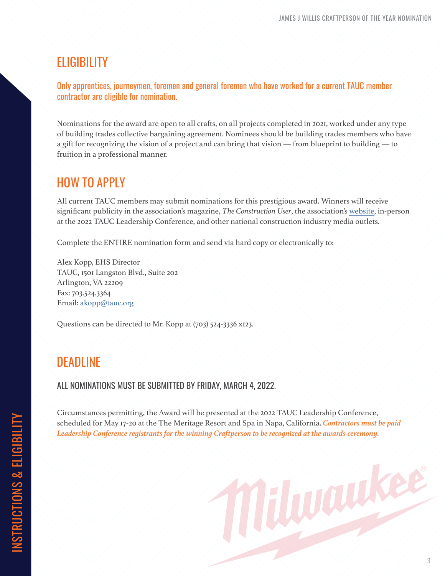## **ELIGIBILITY**

Only apprentices, journeymen, foremen and general foremen who have worked for a current TAUC member contractor are eligible for nomination.

Nominations for the award are open to all crafts, on all projects completed in 2021, worked under any type of building trades collective bargaining agreement. Nominees should be building trades members who have a gift for recognizing the vision of a project and can bring that vision — from blueprint to building — to fruition in a professional manner.

# HOW TO APPLY

All current TAUC members may submit nominations for this prestigious award. Winners will receive significant publicity in the association's magazine, *The Construction User*, the association's [website](mailto:www.tauc.org?subject=), in-person at the 2022 TAUC Leadership Conference, and other national construction industry media outlets.

Complete the ENTIRE nomination form and send via hard copy or electronically to:

Alex Kopp, EHS Director TAUC, 1501 Langston Blvd., Suite 202 Arlington, VA 22209 Fax: 703.524.3364 Email: [akopp@tauc.org](mailto:akopp%40tauc.org?subject=James%20J%20Willis%20Craftperson%20of%20the%20Year%20Submission)

Questions can be directed to Mr. Kopp at (703) 524-3336 x123.

## DEADLINE

ALL NOMINATIONS MUST BE SUBMITTED BY FRIDAY, MARCH 4, 2022.

Circumstances permitting, the Award will be presented at the 2022 TAUC Leadership Conference, scheduled for May 17-20 at the The Meritage Resort and Spa in Napa, California. *Contractors must be paid Leadership Conference registrants for the winning Craftperson to be recognized at the awards ceremony.*

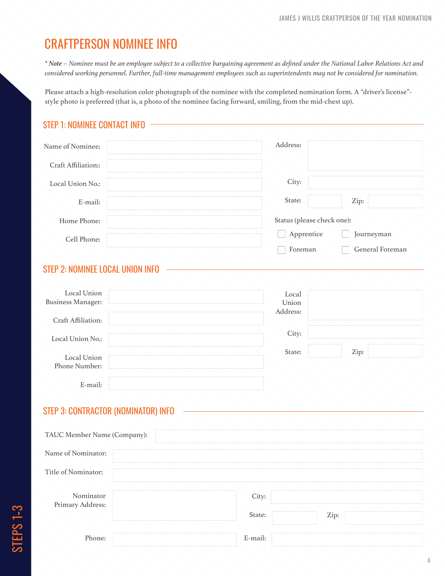# CRAFTPERSON NOMINEE INFO

*\* Note – Nominee must be an employee subject to a collective bargaining agreement as defined under the National Labor Relations Act and considered working personnel. Further, full-time management employees such as superintendents may not be considered for nomination.*

Please attach a high-resolution color photograph of the nominee with the completed nomination form. A "driver's license" style photo is preferred (that is, a photo of the nominee facing forward, smiling, from the mid-chest up).

## STEP 1: NOMINEE CONTACT INFO

| Name of Nominee:    |  | Address:                   |                 |
|---------------------|--|----------------------------|-----------------|
| Craft Affiliation:: |  |                            |                 |
| Local Union No.:    |  | City:                      |                 |
| E-mail:             |  | State:                     | Zip:            |
| Home Phone:         |  | Status (please check one): |                 |
| Cell Phone:         |  | Apprentice                 | Journeyman      |
|                     |  | Foreman                    | General Foreman |

## STEP 2: NOMINEE LOCAL UNION INFO

| Local Union<br><b>Business Manager:</b> | Local<br>Union<br>Address: |      |
|-----------------------------------------|----------------------------|------|
| Craft Affiliation:                      |                            |      |
| Local Union No.:                        | City:                      |      |
| Local Union<br>Phone Number:            | State:                     | Zip: |
| E-mail:                                 |                            |      |

### STEP 3: CONTRACTOR (NOMINATOR) INFO

| TAUC Member Name (Company): |  |  |         |  |      |  |  |
|-----------------------------|--|--|---------|--|------|--|--|
|                             |  |  |         |  |      |  |  |
| Name of Nominator:          |  |  |         |  |      |  |  |
| Title of Nominator:         |  |  |         |  |      |  |  |
|                             |  |  |         |  |      |  |  |
| Nominator                   |  |  | City:   |  |      |  |  |
| Primary Address:            |  |  |         |  |      |  |  |
|                             |  |  | State:  |  | Zip: |  |  |
|                             |  |  |         |  |      |  |  |
| Phone:                      |  |  | E-mail: |  |      |  |  |
|                             |  |  |         |  |      |  |  |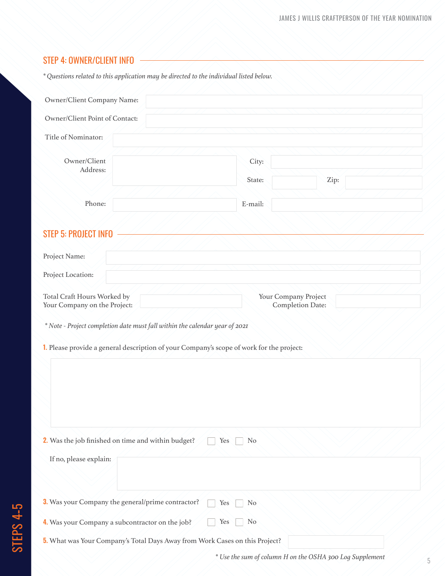#### STEP 4: OWNER/CLIENT INFO

*\* Questions related to this application may be directed to the individual listed below.*

| Owner/Client Company Name:                                                                                                                                              |                       |                                          |
|-------------------------------------------------------------------------------------------------------------------------------------------------------------------------|-----------------------|------------------------------------------|
| Owner/Client Point of Contact:                                                                                                                                          |                       |                                          |
| Title of Nominator:                                                                                                                                                     |                       |                                          |
| Owner/Client<br>Address:                                                                                                                                                | City:<br>State:       | Zip:                                     |
| Phone:                                                                                                                                                                  | E-mail:               |                                          |
| <b>STEP 5: PROJECT INFO</b><br>Project Name:<br>Project Location:                                                                                                       |                       |                                          |
| Total Craft Hours Worked by<br>Your Company on the Project:                                                                                                             |                       | Your Company Project<br>Completion Date: |
| * Note - Project completion date must fall within the calendar year of 2021<br>1. Please provide a general description of your Company's scope of work for the project: |                       |                                          |
| 2. Was the job finished on time and within budget?<br>If no, please explain:                                                                                            | N <sub>o</sub><br>Yes |                                          |
| 3. Was your Company the general/prime contractor?                                                                                                                       | Yes<br>N <sub>o</sub> |                                          |
| 4. Was your Company a subcontractor on the job?                                                                                                                         | Yes<br>No             |                                          |
| 5. What was Your Company's Total Days Away from Work Cases on this Project?                                                                                             |                       |                                          |

*\* Use the sum of column H on the OSHA 300 Log Supplement*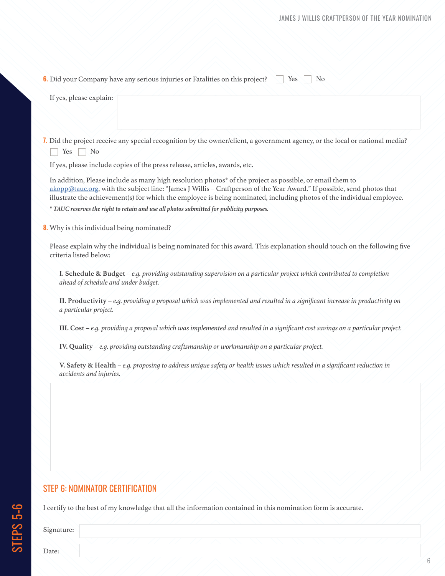| If yes, please explain:                                                                                                                                                                                                                                                                                                                                                                                                                                 |
|---------------------------------------------------------------------------------------------------------------------------------------------------------------------------------------------------------------------------------------------------------------------------------------------------------------------------------------------------------------------------------------------------------------------------------------------------------|
| 7. Did the project receive any special recognition by the owner/client, a government agency, or the local or national media?<br>Yes<br>N <sub>o</sub>                                                                                                                                                                                                                                                                                                   |
| If yes, please include copies of the press release, articles, awards, etc.                                                                                                                                                                                                                                                                                                                                                                              |
| In addition, Please include as many high resolution photos* of the project as possible, or email them to<br>akopp@tauc.org, with the subject line: "James J Willis - Craftperson of the Year Award." If possible, send photos that<br>illustrate the achievement(s) for which the employee is being nominated, including photos of the individual employee.<br>* TAUC reserves the right to retain and use all photos submitted for publicity purposes. |
| 8. Why is this individual being nominated?                                                                                                                                                                                                                                                                                                                                                                                                              |
| Please explain why the individual is being nominated for this award. This explanation should touch on the following five<br>criteria listed below:                                                                                                                                                                                                                                                                                                      |
| I. Schedule & Budget - e.g. providing outstanding supervision on a particular project which contributed to completion<br>ahead of schedule and under budget.                                                                                                                                                                                                                                                                                            |
| II. Productivity $-e.g.$ providing a proposal which was implemented and resulted in a significant increase in productivity on<br>a particular project.                                                                                                                                                                                                                                                                                                  |
| III. Cost – e.g. providing a proposal which was implemented and resulted in a significant cost savings on a particular project.                                                                                                                                                                                                                                                                                                                         |
| IV. Quality $-e.g.$ providing outstanding craftsmanship or workmanship on a particular project.                                                                                                                                                                                                                                                                                                                                                         |
| V. Safety & Health - e.g. proposing to address unique safety or health issues which resulted in a significant reduction in<br>accidents and injuries.                                                                                                                                                                                                                                                                                                   |
|                                                                                                                                                                                                                                                                                                                                                                                                                                                         |
|                                                                                                                                                                                                                                                                                                                                                                                                                                                         |
|                                                                                                                                                                                                                                                                                                                                                                                                                                                         |
|                                                                                                                                                                                                                                                                                                                                                                                                                                                         |
|                                                                                                                                                                                                                                                                                                                                                                                                                                                         |
| <b>STEP 6: NOMINATOR CERTIFICATION</b>                                                                                                                                                                                                                                                                                                                                                                                                                  |

Signature:

STEPS 5**–**6

Date: